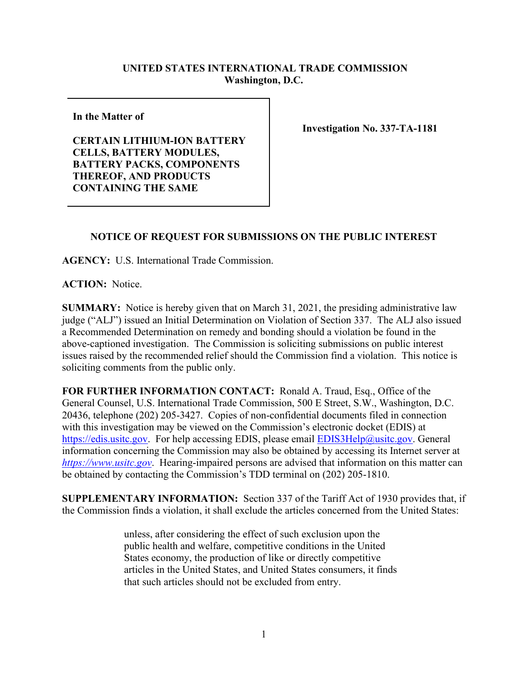## **UNITED STATES INTERNATIONAL TRADE COMMISSION Washington, D.C.**

**In the Matter of** 

**CERTAIN LITHIUM-ION BATTERY CELLS, BATTERY MODULES, BATTERY PACKS, COMPONENTS THEREOF, AND PRODUCTS CONTAINING THE SAME**

**Investigation No. 337-TA-1181**

## **NOTICE OF REQUEST FOR SUBMISSIONS ON THE PUBLIC INTEREST**

**AGENCY:** U.S. International Trade Commission.

**ACTION:** Notice.

**SUMMARY:** Notice is hereby given that on March 31, 2021, the presiding administrative law judge ("ALJ") issued an Initial Determination on Violation of Section 337. The ALJ also issued a Recommended Determination on remedy and bonding should a violation be found in the above-captioned investigation. The Commission is soliciting submissions on public interest issues raised by the recommended relief should the Commission find a violation. This notice is soliciting comments from the public only.

**FOR FURTHER INFORMATION CONTACT:** Ronald A. Traud, Esq., Office of the General Counsel, U.S. International Trade Commission, 500 E Street, S.W., Washington, D.C. 20436, telephone (202) 205-3427. Copies of non-confidential documents filed in connection with this investigation may be viewed on the Commission's electronic docket (EDIS) at [https://edis.usitc.gov.](https://edis.usitc.gov/) For help accessing EDIS, please email [EDIS3Help@usitc.gov.](mailto:EDIS3Help@usitc.gov) General information concerning the Commission may also be obtained by accessing its Internet server at *[https://www.usitc.gov](https://www.usitc.gov/)*. Hearing-impaired persons are advised that information on this matter can be obtained by contacting the Commission's TDD terminal on (202) 205-1810.

**SUPPLEMENTARY INFORMATION:** Section 337 of the Tariff Act of 1930 provides that, if the Commission finds a violation, it shall exclude the articles concerned from the United States:

> unless, after considering the effect of such exclusion upon the public health and welfare, competitive conditions in the United States economy, the production of like or directly competitive articles in the United States, and United States consumers, it finds that such articles should not be excluded from entry.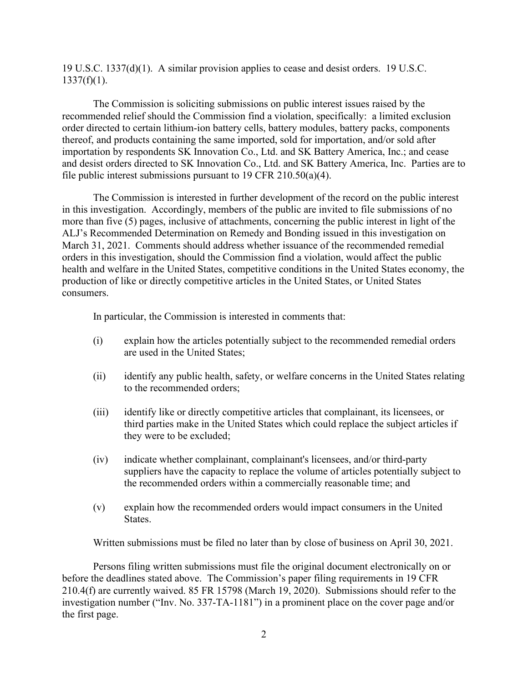19 U.S.C. 1337(d)(1). A similar provision applies to cease and desist orders. 19 U.S.C.  $1337(f)(1)$ .

The Commission is soliciting submissions on public interest issues raised by the recommended relief should the Commission find a violation, specifically: a limited exclusion order directed to certain lithium-ion battery cells, battery modules, battery packs, components thereof, and products containing the same imported, sold for importation, and/or sold after importation by respondents SK Innovation Co., Ltd. and SK Battery America, Inc.; and cease and desist orders directed to SK Innovation Co., Ltd. and SK Battery America, Inc. Parties are to file public interest submissions pursuant to 19 CFR 210.50(a)(4).

The Commission is interested in further development of the record on the public interest in this investigation. Accordingly, members of the public are invited to file submissions of no more than five (5) pages, inclusive of attachments, concerning the public interest in light of the ALJ's Recommended Determination on Remedy and Bonding issued in this investigation on March 31, 2021.Comments should address whether issuance of the recommended remedial orders in this investigation, should the Commission find a violation, would affect the public health and welfare in the United States, competitive conditions in the United States economy, the production of like or directly competitive articles in the United States, or United States consumers.

In particular, the Commission is interested in comments that:

- (i) explain how the articles potentially subject to the recommended remedial orders are used in the United States;
- (ii) identify any public health, safety, or welfare concerns in the United States relating to the recommended orders;
- (iii) identify like or directly competitive articles that complainant, its licensees, or third parties make in the United States which could replace the subject articles if they were to be excluded;
- (iv) indicate whether complainant, complainant's licensees, and/or third-party suppliers have the capacity to replace the volume of articles potentially subject to the recommended orders within a commercially reasonable time; and
- (v) explain how the recommended orders would impact consumers in the United States.

Written submissions must be filed no later than by close of business on April 30, 2021.

Persons filing written submissions must file the original document electronically on or before the deadlines stated above. The Commission's paper filing requirements in 19 CFR 210.4(f) are currently waived. 85 FR 15798 (March 19, 2020). Submissions should refer to the investigation number ("Inv. No. 337-TA-1181") in a prominent place on the cover page and/or the first page.